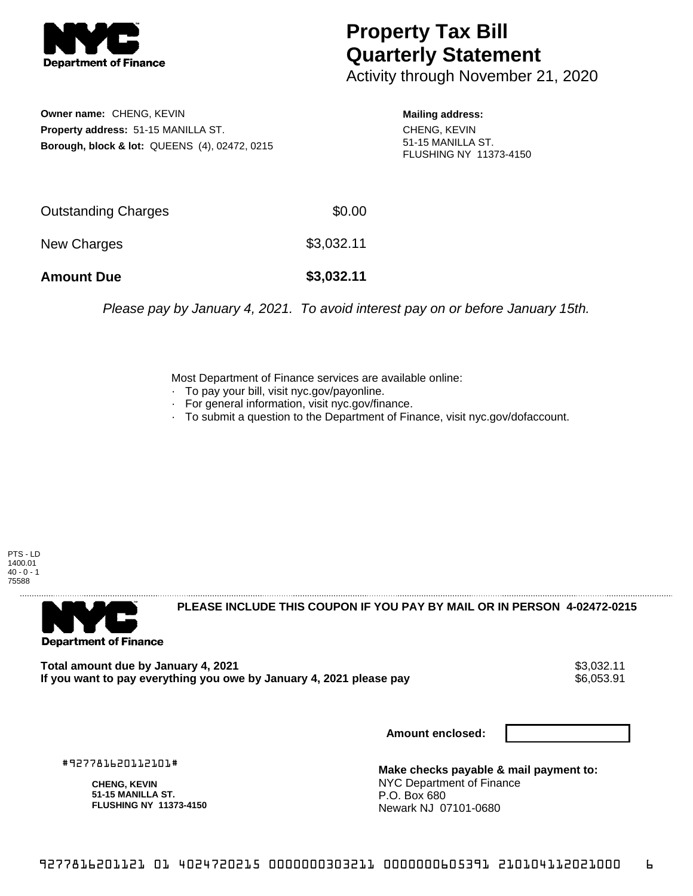

## **Property Tax Bill Quarterly Statement**

Activity through November 21, 2020

**Owner name:** CHENG, KEVIN **Property address:** 51-15 MANILLA ST. **Borough, block & lot:** QUEENS (4), 02472, 0215 **Mailing address:**

CHENG, KEVIN 51-15 MANILLA ST. FLUSHING NY 11373-4150

| <b>Amount Due</b>   | \$3,032.11 |
|---------------------|------------|
| New Charges         | \$3,032.11 |
| Outstanding Charges | \$0.00     |

Please pay by January 4, 2021. To avoid interest pay on or before January 15th.

Most Department of Finance services are available online:

- · To pay your bill, visit nyc.gov/payonline.
- For general information, visit nyc.gov/finance.
- · To submit a question to the Department of Finance, visit nyc.gov/dofaccount.

PTS - LD 1400.01  $40 - 0 - 1$ 75588



**PLEASE INCLUDE THIS COUPON IF YOU PAY BY MAIL OR IN PERSON 4-02472-0215** 

**Total amount due by January 4, 2021**<br>If you want to pay everything you owe by January 4, 2021 please pay **show that the summan was determined** to \$6,053.91 If you want to pay everything you owe by January 4, 2021 please pay

**Amount enclosed:**

#927781620112101#

**CHENG, KEVIN 51-15 MANILLA ST. FLUSHING NY 11373-4150**

**Make checks payable & mail payment to:** NYC Department of Finance P.O. Box 680 Newark NJ 07101-0680